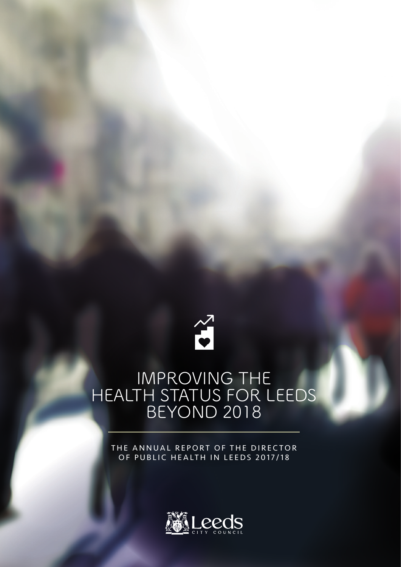

# IMPROVING THE HEALTH STATUS FOR LEEDS BEYOND 2018

THE ANNUAL REPORT OF THE DIRECTOR OF PUBLIC HEALTH IN LEEDS 2017/18

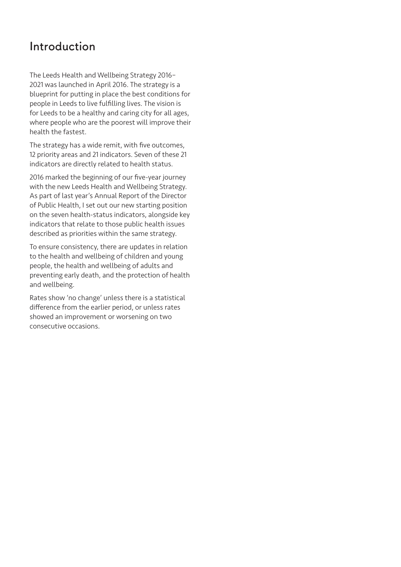#### **Introduction**

The Leeds Health and Wellbeing Strategy 2016– 2021 was launched in April 2016. The strategy is a blueprint for putting in place the best conditions for people in Leeds to live fulfilling lives. The vision is for Leeds to be a healthy and caring city for all ages, where people who are the poorest will improve their health the fastest.

The strategy has a wide remit, with five outcomes, 12 priority areas and 21 indicators. Seven of these 21 indicators are directly related to health status.

2016 marked the beginning of our five-year journey with the new Leeds Health and Wellbeing Strategy. As part of last year's Annual Report of the Director of Public Health, I set out our new starting position on the seven health-status indicators, alongside key indicators that relate to those public health issues described as priorities within the same strategy.

To ensure consistency, there are updates in relation to the health and wellbeing of children and young people, the health and wellbeing of adults and preventing early death, and the protection of health and wellbeing.

Rates show 'no change' unless there is a statistical difference from the earlier period, or unless rates showed an improvement or worsening on two consecutive occasions.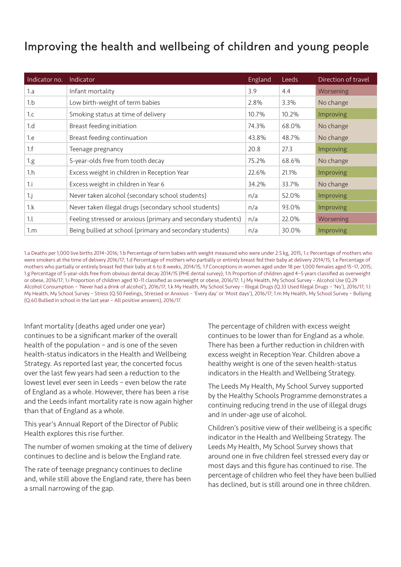## **Improving the health and wellbeing of children and young people**

| Indicator no. | Indicator                                                    | England | <b>Leeds</b> | Direction of travel |
|---------------|--------------------------------------------------------------|---------|--------------|---------------------|
| 1.a           | Infant mortality                                             | 3.9     | 4.4          | Worsening           |
| 1.b           | Low birth-weight of term babies                              | 2.8%    | 3.3%         | No change           |
| 1.c           | Smoking status at time of delivery                           | 10.7%   | 10.2%        | <b>Improving</b>    |
| 1.d           | Breast feeding initiation                                    | 74.3%   | 68.0%        | No change           |
| 1.e           | Breast feeding continuation                                  | 43.8%   | 48.7%        | No change           |
| 1.f           | Teenage pregnancy                                            | 20.8    | 27.3         | <b>Improving</b>    |
| 1.g.          | 5-year-olds free from tooth decay                            | 75.2%   | 68.6%        | No change           |
| 1.h           | Excess weight in children in Reception Year                  | 22.6%   | 21.1%        | Improving           |
| 1.i           | Excess weight in children in Year 6                          | 34.2%   | 33.7%        | No change           |
| $1$ .j        | Never taken alcohol (secondary school students)              | n/a     | 52.0%        | Improving           |
| $1 \cdot k$   | Never taken illegal drugs (secondary school students)        | n/a     | 93.0%        | Improving           |
| 1.1           | Feeling stressed or anxious (primary and secondary students) | n/a     | 22.0%        | Worsening           |
| $1\text{m}$   | Being bullied at school (primary and secondary students)     | n/a     | 30.0%        | Improving           |

1.a Deaths per 1,000 live births 2014–2016; 1.b Percentage of term babies with weight measured who were under 2.5 kg, 2015; 1.c Percentage of mothers who were smokers at the time of delivery 2016/17; 1.d Percentage of mothers who partially or entirely breast fed their baby at delivery 2014/15; 1.e Percentage of mothers who partially or entirely breast fed their baby at 6 to 8 weeks, 2014/15; 1.f Conceptions in women aged under 18 per 1,000 females aged 15–17, 2015; 1.g Percentage of 5-year-olds free from obvious dental decay 2014/15 (PHE dental survey); 1.h Proportion of children aged 4–5 years classified as overweight or obese, 2016/17; 1.i Proportion of children aged 10–11 classified as overweight or obese, 2016/17; 1.j My Health, My School Survey – Alcohol Use (Q.29 Alcohol Consumption – 'Never had a drink of alcohol'), 2016/17; 1.k My Health, My School Survey – Illegal Drugs (Q.33 Used Illegal Drugs – 'No'), 2016/17; 1.l My Health, My School Survey – Stress (Q.50 Feelings, Stressed or Anxious – 'Every day' or 'Most days'), 2016/17; 1.m My Health, My School Survey – Bullying (Q.60 Bullied in school in the last year – All positive answers), 2016/17.

Infant mortality (deaths aged under one year) continues to be a significant marker of the overall health of the population – and is one of the seven health-status indicators in the Health and Wellbeing Strategy. As reported last year, the concerted focus over the last few years had seen a reduction to the lowest level ever seen in Leeds – even below the rate of England as a whole. However, there has been a rise and the Leeds infant mortality rate is now again higher than that of England as a whole.

This year's Annual Report of the Director of Public Health explores this rise further.

The number of women smoking at the time of delivery continues to decline and is below the England rate.

The rate of teenage pregnancy continues to decline and, while still above the England rate, there has been a small narrowing of the gap.

The percentage of children with excess weight continues to be lower than for England as a whole. There has been a further reduction in children with excess weight in Reception Year. Children above a healthy weight is one of the seven health-status indicators in the Health and Wellbeing Strategy.

The Leeds My Health, My School Survey supported by the Healthy Schools Programme demonstrates a continuing reducing trend in the use of illegal drugs and in under-age use of alcohol.

Children's positive view of their wellbeing is a specific indicator in the Health and Wellbeing Strategy. The Leeds My Health, My School Survey shows that around one in five children feel stressed every day or most days and this figure has continued to rise. The percentage of children who feel they have been bullied has declined, but is still around one in three children.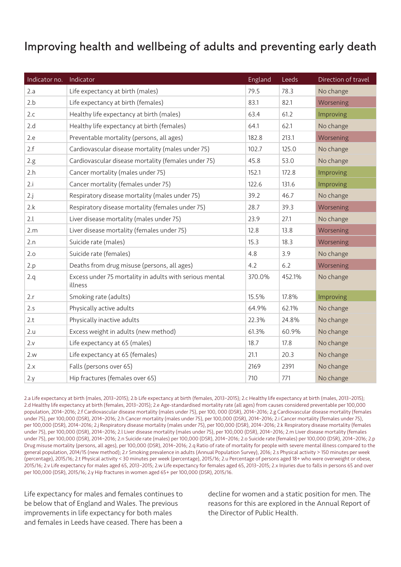### **Improving health and wellbeing of adults and preventing early death**

| Indicator no. | Indicator                                                          | England | Leeds  | Direction of travel |
|---------------|--------------------------------------------------------------------|---------|--------|---------------------|
| 2.a           | Life expectancy at birth (males)                                   | 79.5    | 78.3   | No change           |
| 2.b           | Life expectancy at birth (females)                                 | 83.1    | 82.1   | Worsening           |
| 2.c           | Healthy life expectancy at birth (males)                           | 63.4    | 61.2   | Improving           |
| 2.d           | Healthy life expectancy at birth (females)                         | 64.1    | 62.1   | No change           |
| 2.e           | Preventable mortality (persons, all ages)                          | 182.8   | 213.1  | Worsening           |
| 2.f           | Cardiovascular disease mortality (males under 75)                  | 102.7   | 125.0  | No change           |
| 2.g.          | Cardiovascular disease mortality (females under 75)                | 45.8    | 53.0   | No change           |
| 2.h           | Cancer mortality (males under 75)                                  | 152.1   | 172.8  | Improving           |
| 2.i           | Cancer mortality (females under 75)                                | 122.6   | 131.6  | Improving           |
| 2.j           | Respiratory disease mortality (males under 75)                     | 39.2    | 46.7   | No change           |
| 2.k           | Respiratory disease mortality (females under 75)                   | 28.7    | 39.3   | Worsening           |
| 2.l           | Liver disease mortality (males under 75)                           | 23.9    | 27.1   | No change           |
| 2.m           | Liver disease mortality (females under 75)                         | 12.8    | 13.8   | Worsening           |
| 2.n           | Suicide rate (males)                                               | 15.3    | 18.3   | Worsening           |
| 2.o           | Suicide rate (females)                                             | 4.8     | 3.9    | No change           |
| 2.p           | Deaths from drug misuse (persons, all ages)                        | 4.2     | 6.2    | Worsening           |
| 2.q           | Excess under 75 mortality in adults with serious mental<br>illness | 370.0%  | 452.1% | No change           |
| 2.r           | Smoking rate (adults)                                              | 15.5%   | 17.8%  | Improving           |
| 2.s           | Physically active adults                                           | 64.9%   | 62.1%  | No change           |
| 2.t           | Physically inactive adults                                         | 22.3%   | 24.8%  | No change           |
| 2.u           | Excess weight in adults (new method)                               | 61.3%   | 60.9%  | No change           |
| 2.v           | Life expectancy at 65 (males)                                      | 18.7    | 17.8   | No change           |
| 2.w           | Life expectancy at 65 (females)                                    | 21.1    | 20.3   | No change           |
| 2.x           | Falls (persons over 65)                                            | 2169    | 2391   | No change           |
| 2.y           | Hip fractures (females over 65)                                    | 710     | 771    | No change           |

2.a Life expectancy at birth (males, 2013–2015); 2.b Life expectancy at birth (females, 2013–2015); 2.c Healthy life expectancy at birth (males, 2013–2015); 2.d Healthy life expectancy at birth (females, 2013–2015); 2.e Age-standardised mortality rate (all ages) from causes considered preventable per 100,000 population, 2014–2016; 2.f Cardiovascular disease mortality (males under 75), per 100, 000 (DSR), 2014–2016; 2.g Cardiovascular disease mortality (females under 75), per 100,000 (DSR), 2014–2016; 2.h Cancer mortality (males under 75), per 100,000 (DSR), 2014–2016; 2.i Cancer mortality (females under 75), per 100,000 (DSR), 2014–2016; 2.j Respiratory disease mortality (males under 75), per 100,000 (DSR), 2014–2016; 2.k Respiratory disease mortality (females under 75), per 100,000 (DSR), 2014–2016; 2.l Liver disease mortality (males under 75), per 100,000 (DSR), 2014–2016; 2.m Liver disease mortality (females under 75), per 100,000 (DSR), 2014–2016; 2.n Suicide rate (males) per 100,000 (DSR), 2014–2016; 2.o Suicide rate (females) per 100,000 (DSR), 2014–2016; 2.p Drug misuse mortality (persons, all ages), per 100,000 (DSR), 2014–2016; 2.q Ratio of rate of mortality for people with severe mental illness compared to the general population, 2014/15 (new method); 2.r Smoking prevalence in adults (Annual Population Survey), 2016; 2.s Physical activity > 150 minutes per week (percentage), 2015/16; 2.t Physical activity < 30 minutes per week (percentage), 2015/16; 2.u Percentage of persons aged 18+ who were overweight or obese, 2015/16; 2.v Life expectancy for males aged 65, 2013–2015; 2.w Life expectancy for females aged 65, 2013–2015; 2.x Injuries due to falls in persons 65 and over per 100,000 (DSR), 2015/16; 2.y Hip fractures in women aged 65+ per 100,000 (DSR), 2015/16.

Life expectancy for males and females continues to be below that of England and Wales. The previous improvements in life expectancy for both males and females in Leeds have ceased. There has been a

decline for women and a static position for men. The reasons for this are explored in the Annual Report of the Director of Public Health.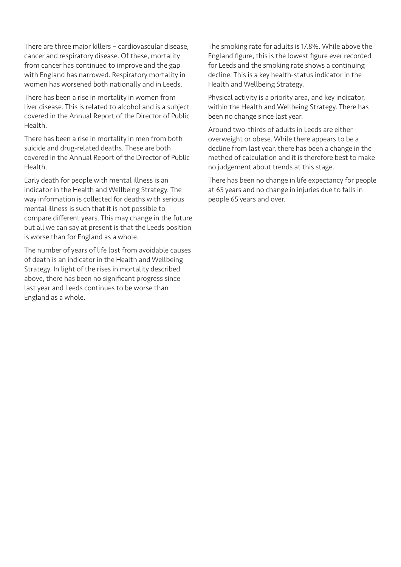There are three major killers – cardiovascular disease, cancer and respiratory disease. Of these, mortality from cancer has continued to improve and the gap with England has narrowed. Respiratory mortality in women has worsened both nationally and in Leeds.

There has been a rise in mortality in women from liver disease. This is related to alcohol and is a subject covered in the Annual Report of the Director of Public Health.

There has been a rise in mortality in men from both suicide and drug-related deaths. These are both covered in the Annual Report of the Director of Public Health.

Early death for people with mental illness is an indicator in the Health and Wellbeing Strategy. The way information is collected for deaths with serious mental illness is such that it is not possible to compare different years. This may change in the future but all we can say at present is that the Leeds position is worse than for England as a whole.

The number of years of life lost from avoidable causes of death is an indicator in the Health and Wellbeing Strategy. In light of the rises in mortality described above, there has been no significant progress since last year and Leeds continues to be worse than England as a whole.

The smoking rate for adults is 17.8%. While above the England figure, this is the lowest figure ever recorded for Leeds and the smoking rate shows a continuing decline. This is a key health-status indicator in the Health and Wellbeing Strategy.

Physical activity is a priority area, and key indicator, within the Health and Wellbeing Strategy. There has been no change since last year.

Around two-thirds of adults in Leeds are either overweight or obese. While there appears to be a decline from last year, there has been a change in the method of calculation and it is therefore best to make no judgement about trends at this stage.

There has been no change in life expectancy for people at 65 years and no change in injuries due to falls in people 65 years and over.